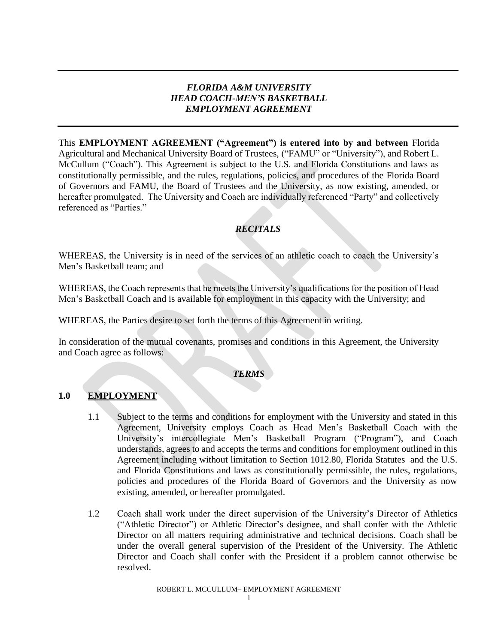## *FLORIDA A&M UNIVERSITY HEAD COACH-MEN'S BASKETBALL EMPLOYMENT AGREEMENT*

This **EMPLOYMENT AGREEMENT ("Agreement") is entered into by and between** Florida Agricultural and Mechanical University Board of Trustees, ("FAMU" or "University"), and Robert L. McCullum ("Coach"). This Agreement is subject to the U.S. and Florida Constitutions and laws as constitutionally permissible, and the rules, regulations, policies, and procedures of the Florida Board of Governors and FAMU, the Board of Trustees and the University, as now existing, amended, or hereafter promulgated. The University and Coach are individually referenced "Party" and collectively referenced as "Parties"

# *RECITALS*

WHEREAS, the University is in need of the services of an athletic coach to coach the University's Men's Basketball team; and

WHEREAS, the Coach represents that he meets the University's qualifications for the position of Head Men's Basketball Coach and is available for employment in this capacity with the University; and

WHEREAS, the Parties desire to set forth the terms of this Agreement in writing.

In consideration of the mutual covenants, promises and conditions in this Agreement, the University and Coach agree as follows:

## *TERMS*

## **1.0 EMPLOYMENT**

- 1.1 Subject to the terms and conditions for employment with the University and stated in this Agreement, University employs Coach as Head Men's Basketball Coach with the University's intercollegiate Men's Basketball Program ("Program"), and Coach understands, agrees to and accepts the terms and conditions for employment outlined in this Agreement including without limitation to Section 1012.80, Florida Statutes and the U.S. and Florida Constitutions and laws as constitutionally permissible, the rules, regulations, policies and procedures of the Florida Board of Governors and the University as now existing, amended, or hereafter promulgated.
- 1.2 Coach shall work under the direct supervision of the University's Director of Athletics ("Athletic Director") or Athletic Director's designee, and shall confer with the Athletic Director on all matters requiring administrative and technical decisions. Coach shall be under the overall general supervision of the President of the University. The Athletic Director and Coach shall confer with the President if a problem cannot otherwise be resolved.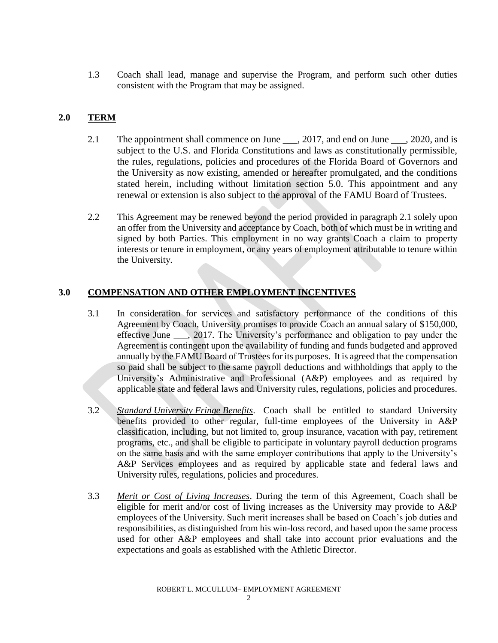1.3 Coach shall lead, manage and supervise the Program, and perform such other duties consistent with the Program that may be assigned.

## **2.0 TERM**

- 2.1 The appointment shall commence on June 1, 2017, and end on June 1, 2020, and is subject to the U.S. and Florida Constitutions and laws as constitutionally permissible, the rules, regulations, policies and procedures of the Florida Board of Governors and the University as now existing, amended or hereafter promulgated, and the conditions stated herein, including without limitation section 5.0. This appointment and any renewal or extension is also subject to the approval of the FAMU Board of Trustees.
- 2.2 This Agreement may be renewed beyond the period provided in paragraph 2.1 solely upon an offer from the University and acceptance by Coach, both of which must be in writing and signed by both Parties. This employment in no way grants Coach a claim to property interests or tenure in employment, or any years of employment attributable to tenure within the University.

## **3.0 COMPENSATION AND OTHER EMPLOYMENT INCENTIVES**

- 3.1 In consideration for services and satisfactory performance of the conditions of this Agreement by Coach, University promises to provide Coach an annual salary of \$150,000, effective June \_\_\_, 2017. The University's performance and obligation to pay under the Agreement is contingent upon the availability of funding and funds budgeted and approved annually by the FAMU Board of Trustees for its purposes. It is agreed that the compensation so paid shall be subject to the same payroll deductions and withholdings that apply to the University's Administrative and Professional (A&P) employees and as required by applicable state and federal laws and University rules, regulations, policies and procedures.
- 3.2 *Standard University Fringe Benefits*. Coach shall be entitled to standard University benefits provided to other regular, full-time employees of the University in A&P classification, including, but not limited to, group insurance, vacation with pay, retirement programs, etc., and shall be eligible to participate in voluntary payroll deduction programs on the same basis and with the same employer contributions that apply to the University's A&P Services employees and as required by applicable state and federal laws and University rules, regulations, policies and procedures.
- 3.3 *Merit or Cost of Living Increases*. During the term of this Agreement, Coach shall be eligible for merit and/or cost of living increases as the University may provide to A&P employees of the University. Such merit increases shall be based on Coach's job duties and responsibilities, as distinguished from his win-loss record, and based upon the same process used for other A&P employees and shall take into account prior evaluations and the expectations and goals as established with the Athletic Director.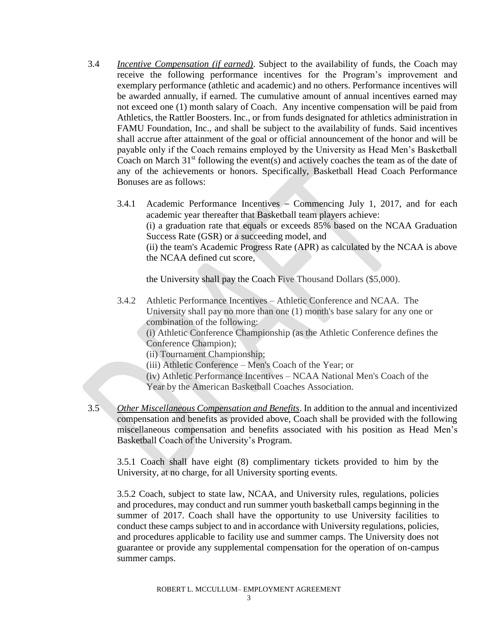3.4 *Incentive Compensation (if earned)*. Subject to the availability of funds, the Coach may receive the following performance incentives for the Program's improvement and exemplary performance (athletic and academic) and no others. Performance incentives will be awarded annually, if earned. The cumulative amount of annual incentives earned may not exceed one (1) month salary of Coach. Any incentive compensation will be paid from Athletics, the Rattler Boosters. Inc., or from funds designated for athletics administration in FAMU Foundation, Inc., and shall be subject to the availability of funds. Said incentives shall accrue after attainment of the goal or official announcement of the honor and will be payable only if the Coach remains employed by the University as Head Men's Basketball Coach on March  $31<sup>st</sup>$  following the event(s) and actively coaches the team as of the date of any of the achievements or honors. Specifically, Basketball Head Coach Performance Bonuses are as follows:

3.4.1 Academic Performance Incentives – Commencing July 1, 2017, and for each academic year thereafter that Basketball team players achieve: (i) a graduation rate that equals or exceeds 85% based on the NCAA Graduation Success Rate (GSR) or a succeeding model, and (ii) the team's Academic Progress Rate (APR) as calculated by the NCAA is above the NCAA defined cut score,

the University shall pay the Coach Five Thousand Dollars (\$5,000).

3.4.2 Athletic Performance Incentives – Athletic Conference and NCAA. The University shall pay no more than one (1) month's base salary for any one or combination of the following:

(i) Athletic Conference Championship (as the Athletic Conference defines the Conference Champion);

(ii) Tournament Championship;

(iii) Athletic Conference – Men's Coach of the Year; or

(iv) Athletic Performance Incentives – NCAA National Men's Coach of the

Year by the American Basketball Coaches Association.

3.5 *Other Miscellaneous Compensation and Benefits*. In addition to the annual and incentivized compensation and benefits as provided above, Coach shall be provided with the following miscellaneous compensation and benefits associated with his position as Head Men's Basketball Coach of the University's Program.

3.5.1 Coach shall have eight (8) complimentary tickets provided to him by the University, at no charge, for all University sporting events.

3.5.2 Coach, subject to state law, NCAA, and University rules, regulations, policies and procedures, may conduct and run summer youth basketball camps beginning in the summer of 2017. Coach shall have the opportunity to use University facilities to conduct these camps subject to and in accordance with University regulations, policies, and procedures applicable to facility use and summer camps. The University does not guarantee or provide any supplemental compensation for the operation of on-campus summer camps.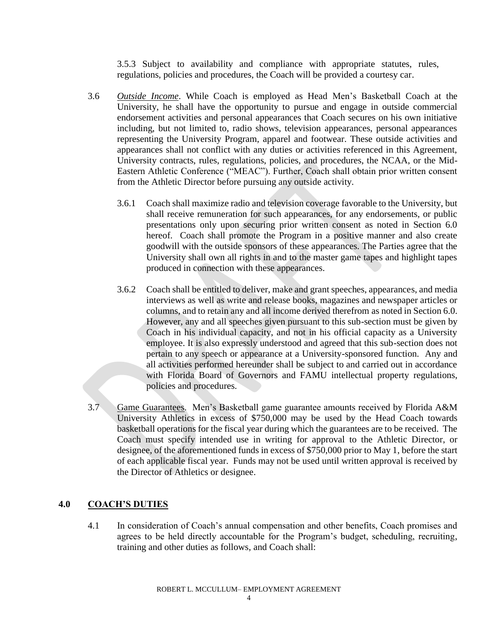3.5.3 Subject to availability and compliance with appropriate statutes, rules, regulations, policies and procedures, the Coach will be provided a courtesy car.

- 3.6 *Outside Income*. While Coach is employed as Head Men's Basketball Coach at the University, he shall have the opportunity to pursue and engage in outside commercial endorsement activities and personal appearances that Coach secures on his own initiative including, but not limited to, radio shows, television appearances, personal appearances representing the University Program, apparel and footwear. These outside activities and appearances shall not conflict with any duties or activities referenced in this Agreement, University contracts, rules, regulations, policies, and procedures, the NCAA, or the Mid-Eastern Athletic Conference ("MEAC"). Further, Coach shall obtain prior written consent from the Athletic Director before pursuing any outside activity.
	- 3.6.1 Coach shall maximize radio and television coverage favorable to the University, but shall receive remuneration for such appearances, for any endorsements, or public presentations only upon securing prior written consent as noted in Section 6.0 hereof. Coach shall promote the Program in a positive manner and also create goodwill with the outside sponsors of these appearances. The Parties agree that the University shall own all rights in and to the master game tapes and highlight tapes produced in connection with these appearances.
	- 3.6.2 Coach shall be entitled to deliver, make and grant speeches, appearances, and media interviews as well as write and release books, magazines and newspaper articles or columns, and to retain any and all income derived therefrom as noted in Section 6.0. However, any and all speeches given pursuant to this sub-section must be given by Coach in his individual capacity, and not in his official capacity as a University employee. It is also expressly understood and agreed that this sub-section does not pertain to any speech or appearance at a University-sponsored function. Any and all activities performed hereunder shall be subject to and carried out in accordance with Florida Board of Governors and FAMU intellectual property regulations, policies and procedures.
- 3.7 Game Guarantees. Men's Basketball game guarantee amounts received by Florida A&M University Athletics in excess of \$750,000 may be used by the Head Coach towards basketball operations for the fiscal year during which the guarantees are to be received. The Coach must specify intended use in writing for approval to the Athletic Director, or designee, of the aforementioned funds in excess of \$750,000 prior to May 1, before the start of each applicable fiscal year. Funds may not be used until written approval is received by the Director of Athletics or designee.

## **4.0 COACH'S DUTIES**

4.1 In consideration of Coach's annual compensation and other benefits, Coach promises and agrees to be held directly accountable for the Program's budget, scheduling, recruiting, training and other duties as follows, and Coach shall: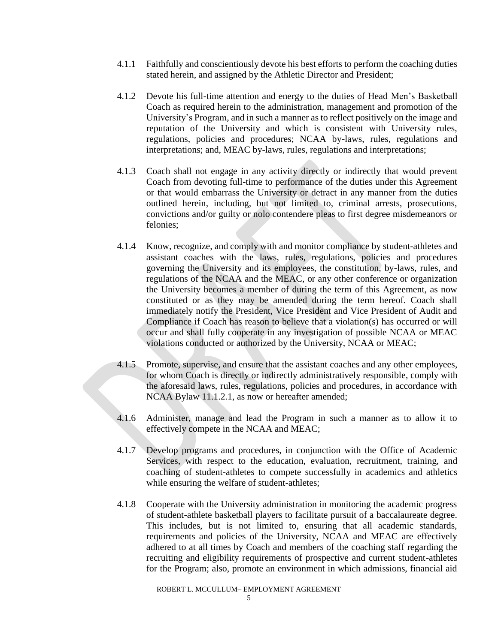- 4.1.1 Faithfully and conscientiously devote his best efforts to perform the coaching duties stated herein, and assigned by the Athletic Director and President;
- 4.1.2 Devote his full-time attention and energy to the duties of Head Men's Basketball Coach as required herein to the administration, management and promotion of the University's Program, and in such a manner as to reflect positively on the image and reputation of the University and which is consistent with University rules, regulations, policies and procedures; NCAA by-laws, rules, regulations and interpretations; and, MEAC by-laws, rules, regulations and interpretations;
- 4.1.3 Coach shall not engage in any activity directly or indirectly that would prevent Coach from devoting full-time to performance of the duties under this Agreement or that would embarrass the University or detract in any manner from the duties outlined herein, including, but not limited to, criminal arrests, prosecutions, convictions and/or guilty or nolo contendere pleas to first degree misdemeanors or felonies;
- 4.1.4 Know, recognize, and comply with and monitor compliance by student-athletes and assistant coaches with the laws, rules, regulations, policies and procedures governing the University and its employees, the constitution, by-laws, rules, and regulations of the NCAA and the MEAC, or any other conference or organization the University becomes a member of during the term of this Agreement, as now constituted or as they may be amended during the term hereof. Coach shall immediately notify the President, Vice President and Vice President of Audit and Compliance if Coach has reason to believe that a violation(s) has occurred or will occur and shall fully cooperate in any investigation of possible NCAA or MEAC violations conducted or authorized by the University, NCAA or MEAC;
- 4.1.5 Promote, supervise, and ensure that the assistant coaches and any other employees, for whom Coach is directly or indirectly administratively responsible, comply with the aforesaid laws, rules, regulations, policies and procedures, in accordance with NCAA Bylaw 11.1.2.1, as now or hereafter amended;
- 4.1.6 Administer, manage and lead the Program in such a manner as to allow it to effectively compete in the NCAA and MEAC;
- 4.1.7 Develop programs and procedures, in conjunction with the Office of Academic Services, with respect to the education, evaluation, recruitment, training, and coaching of student-athletes to compete successfully in academics and athletics while ensuring the welfare of student-athletes;
- 4.1.8 Cooperate with the University administration in monitoring the academic progress of student-athlete basketball players to facilitate pursuit of a baccalaureate degree. This includes, but is not limited to, ensuring that all academic standards, requirements and policies of the University, NCAA and MEAC are effectively adhered to at all times by Coach and members of the coaching staff regarding the recruiting and eligibility requirements of prospective and current student-athletes for the Program; also, promote an environment in which admissions, financial aid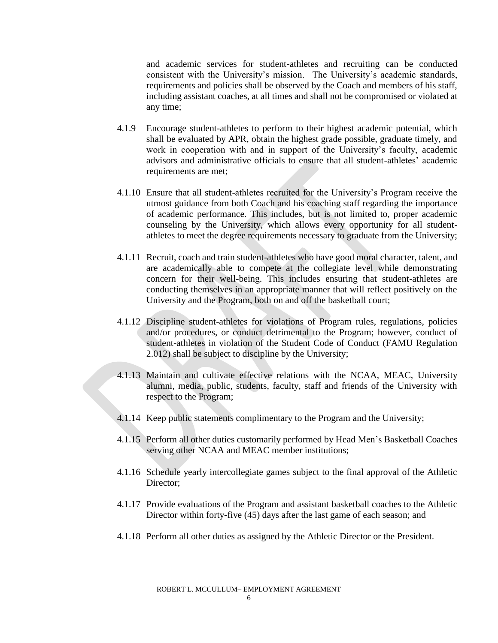and academic services for student-athletes and recruiting can be conducted consistent with the University's mission. The University's academic standards, requirements and policies shall be observed by the Coach and members of his staff, including assistant coaches, at all times and shall not be compromised or violated at any time;

- 4.1.9 Encourage student-athletes to perform to their highest academic potential, which shall be evaluated by APR, obtain the highest grade possible, graduate timely, and work in cooperation with and in support of the University's faculty, academic advisors and administrative officials to ensure that all student-athletes' academic requirements are met;
- 4.1.10 Ensure that all student-athletes recruited for the University's Program receive the utmost guidance from both Coach and his coaching staff regarding the importance of academic performance. This includes, but is not limited to, proper academic counseling by the University, which allows every opportunity for all studentathletes to meet the degree requirements necessary to graduate from the University;
- 4.1.11 Recruit, coach and train student-athletes who have good moral character, talent, and are academically able to compete at the collegiate level while demonstrating concern for their well-being. This includes ensuring that student-athletes are conducting themselves in an appropriate manner that will reflect positively on the University and the Program, both on and off the basketball court;
- 4.1.12 Discipline student-athletes for violations of Program rules, regulations, policies and/or procedures, or conduct detrimental to the Program; however, conduct of student-athletes in violation of the Student Code of Conduct (FAMU Regulation 2.012) shall be subject to discipline by the University;
- 4.1.13 Maintain and cultivate effective relations with the NCAA, MEAC, University alumni, media, public, students, faculty, staff and friends of the University with respect to the Program;
- 4.1.14 Keep public statements complimentary to the Program and the University;
- 4.1.15 Perform all other duties customarily performed by Head Men's Basketball Coaches serving other NCAA and MEAC member institutions;
- 4.1.16 Schedule yearly intercollegiate games subject to the final approval of the Athletic Director;
- 4.1.17 Provide evaluations of the Program and assistant basketball coaches to the Athletic Director within forty-five (45) days after the last game of each season; and
- 4.1.18 Perform all other duties as assigned by the Athletic Director or the President.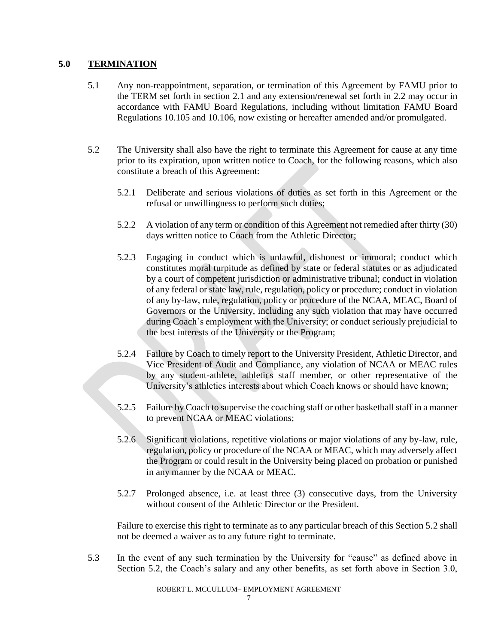## **5.0 TERMINATION**

- 5.1 Any non-reappointment, separation, or termination of this Agreement by FAMU prior to the TERM set forth in section 2.1 and any extension/renewal set forth in 2.2 may occur in accordance with FAMU Board Regulations, including without limitation FAMU Board Regulations 10.105 and 10.106, now existing or hereafter amended and/or promulgated.
- 5.2 The University shall also have the right to terminate this Agreement for cause at any time prior to its expiration, upon written notice to Coach, for the following reasons, which also constitute a breach of this Agreement:
	- 5.2.1 Deliberate and serious violations of duties as set forth in this Agreement or the refusal or unwillingness to perform such duties;
	- 5.2.2 A violation of any term or condition of this Agreement not remedied after thirty (30) days written notice to Coach from the Athletic Director;
	- 5.2.3 Engaging in conduct which is unlawful, dishonest or immoral; conduct which constitutes moral turpitude as defined by state or federal statutes or as adjudicated by a court of competent jurisdiction or administrative tribunal; conduct in violation of any federal or state law, rule, regulation, policy or procedure; conduct in violation of any by-law, rule, regulation, policy or procedure of the NCAA, MEAC, Board of Governors or the University, including any such violation that may have occurred during Coach's employment with the University; or conduct seriously prejudicial to the best interests of the University or the Program;
	- 5.2.4 Failure by Coach to timely report to the University President, Athletic Director, and Vice President of Audit and Compliance, any violation of NCAA or MEAC rules by any student-athlete, athletics staff member, or other representative of the University's athletics interests about which Coach knows or should have known;
	- 5.2.5 Failure by Coach to supervise the coaching staff or other basketball staff in a manner to prevent NCAA or MEAC violations;
	- 5.2.6 Significant violations, repetitive violations or major violations of any by-law, rule, regulation, policy or procedure of the NCAA or MEAC, which may adversely affect the Program or could result in the University being placed on probation or punished in any manner by the NCAA or MEAC.
	- 5.2.7 Prolonged absence, i.e. at least three (3) consecutive days, from the University without consent of the Athletic Director or the President.

Failure to exercise this right to terminate as to any particular breach of this Section 5.2 shall not be deemed a waiver as to any future right to terminate.

5.3 In the event of any such termination by the University for "cause" as defined above in Section 5.2, the Coach's salary and any other benefits, as set forth above in Section 3.0,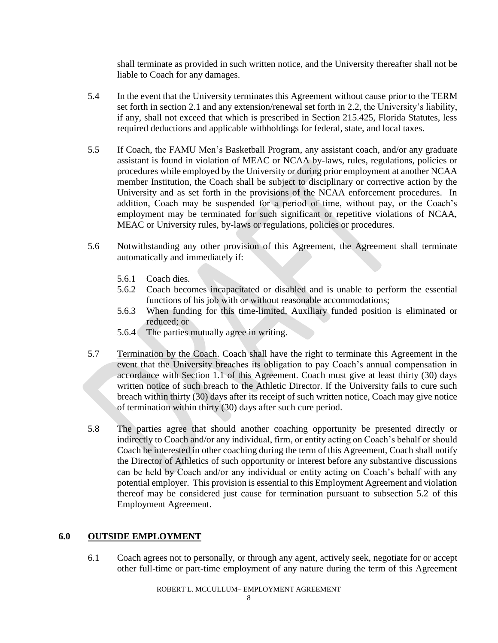shall terminate as provided in such written notice, and the University thereafter shall not be liable to Coach for any damages.

- 5.4 In the event that the University terminates this Agreement without cause prior to the TERM set forth in section 2.1 and any extension/renewal set forth in 2.2, the University's liability, if any, shall not exceed that which is prescribed in Section 215.425, Florida Statutes, less required deductions and applicable withholdings for federal, state, and local taxes.
- 5.5 If Coach, the FAMU Men's Basketball Program, any assistant coach, and/or any graduate assistant is found in violation of MEAC or NCAA by-laws, rules, regulations, policies or procedures while employed by the University or during prior employment at another NCAA member Institution, the Coach shall be subject to disciplinary or corrective action by the University and as set forth in the provisions of the NCAA enforcement procedures. In addition, Coach may be suspended for a period of time, without pay, or the Coach's employment may be terminated for such significant or repetitive violations of NCAA, MEAC or University rules, by-laws or regulations, policies or procedures.
- 5.6 Notwithstanding any other provision of this Agreement, the Agreement shall terminate automatically and immediately if:
	- 5.6.1 Coach dies.
	- 5.6.2 Coach becomes incapacitated or disabled and is unable to perform the essential functions of his job with or without reasonable accommodations;
	- 5.6.3 When funding for this time-limited, Auxiliary funded position is eliminated or reduced; or
	- 5.6.4 The parties mutually agree in writing.
- 5.7 Termination by the Coach. Coach shall have the right to terminate this Agreement in the event that the University breaches its obligation to pay Coach's annual compensation in accordance with Section 1.1 of this Agreement. Coach must give at least thirty (30) days written notice of such breach to the Athletic Director. If the University fails to cure such breach within thirty (30) days after its receipt of such written notice, Coach may give notice of termination within thirty (30) days after such cure period.
- 5.8 The parties agree that should another coaching opportunity be presented directly or indirectly to Coach and/or any individual, firm, or entity acting on Coach's behalf or should Coach be interested in other coaching during the term of this Agreement, Coach shall notify the Director of Athletics of such opportunity or interest before any substantive discussions can be held by Coach and/or any individual or entity acting on Coach's behalf with any potential employer. This provision is essential to this Employment Agreement and violation thereof may be considered just cause for termination pursuant to subsection 5.2 of this Employment Agreement.

## **6.0 OUTSIDE EMPLOYMENT**

6.1 Coach agrees not to personally, or through any agent, actively seek, negotiate for or accept other full-time or part-time employment of any nature during the term of this Agreement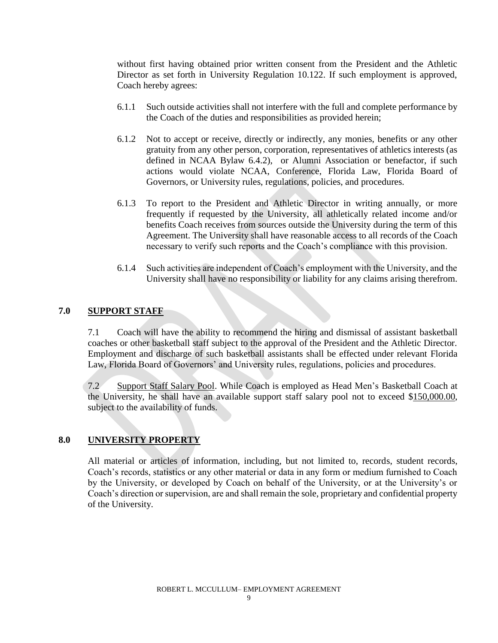without first having obtained prior written consent from the President and the Athletic Director as set forth in University Regulation 10.122. If such employment is approved, Coach hereby agrees:

- 6.1.1 Such outside activities shall not interfere with the full and complete performance by the Coach of the duties and responsibilities as provided herein;
- 6.1.2 Not to accept or receive, directly or indirectly, any monies, benefits or any other gratuity from any other person, corporation, representatives of athletics interests (as defined in NCAA Bylaw 6.4.2), or Alumni Association or benefactor, if such actions would violate NCAA, Conference, Florida Law, Florida Board of Governors, or University rules, regulations, policies, and procedures.
- 6.1.3 To report to the President and Athletic Director in writing annually, or more frequently if requested by the University, all athletically related income and/or benefits Coach receives from sources outside the University during the term of this Agreement. The University shall have reasonable access to all records of the Coach necessary to verify such reports and the Coach's compliance with this provision.
- 6.1.4 Such activities are independent of Coach's employment with the University, and the University shall have no responsibility or liability for any claims arising therefrom.

## **7.0 SUPPORT STAFF**

7.1 Coach will have the ability to recommend the hiring and dismissal of assistant basketball coaches or other basketball staff subject to the approval of the President and the Athletic Director. Employment and discharge of such basketball assistants shall be effected under relevant Florida Law, Florida Board of Governors' and University rules, regulations, policies and procedures.

7.2 Support Staff Salary Pool. While Coach is employed as Head Men's Basketball Coach at the University, he shall have an available support staff salary pool not to exceed \$150,000.00, subject to the availability of funds.

## **8.0 UNIVERSITY PROPERTY**

All material or articles of information, including, but not limited to, records, student records, Coach's records, statistics or any other material or data in any form or medium furnished to Coach by the University, or developed by Coach on behalf of the University, or at the University's or Coach's direction or supervision, are and shall remain the sole, proprietary and confidential property of the University.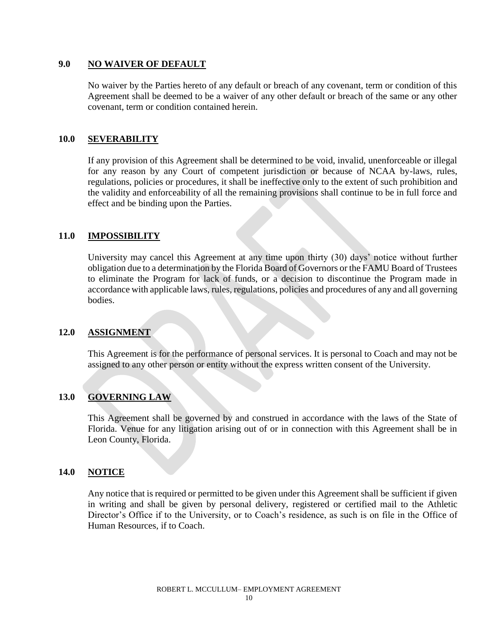#### **9.0 NO WAIVER OF DEFAULT**

No waiver by the Parties hereto of any default or breach of any covenant, term or condition of this Agreement shall be deemed to be a waiver of any other default or breach of the same or any other covenant, term or condition contained herein.

#### **10.0 SEVERABILITY**

If any provision of this Agreement shall be determined to be void, invalid, unenforceable or illegal for any reason by any Court of competent jurisdiction or because of NCAA by-laws, rules, regulations, policies or procedures, it shall be ineffective only to the extent of such prohibition and the validity and enforceability of all the remaining provisions shall continue to be in full force and effect and be binding upon the Parties.

#### **11.0 IMPOSSIBILITY**

University may cancel this Agreement at any time upon thirty (30) days' notice without further obligation due to a determination by the Florida Board of Governors or the FAMU Board of Trustees to eliminate the Program for lack of funds, or a decision to discontinue the Program made in accordance with applicable laws, rules, regulations, policies and procedures of any and all governing bodies.

#### **12.0 ASSIGNMENT**

This Agreement is for the performance of personal services. It is personal to Coach and may not be assigned to any other person or entity without the express written consent of the University.

## **13.0 GOVERNING LAW**

This Agreement shall be governed by and construed in accordance with the laws of the State of Florida. Venue for any litigation arising out of or in connection with this Agreement shall be in Leon County, Florida.

#### **14.0 NOTICE**

Any notice that is required or permitted to be given under this Agreement shall be sufficient if given in writing and shall be given by personal delivery, registered or certified mail to the Athletic Director's Office if to the University, or to Coach's residence, as such is on file in the Office of Human Resources, if to Coach.